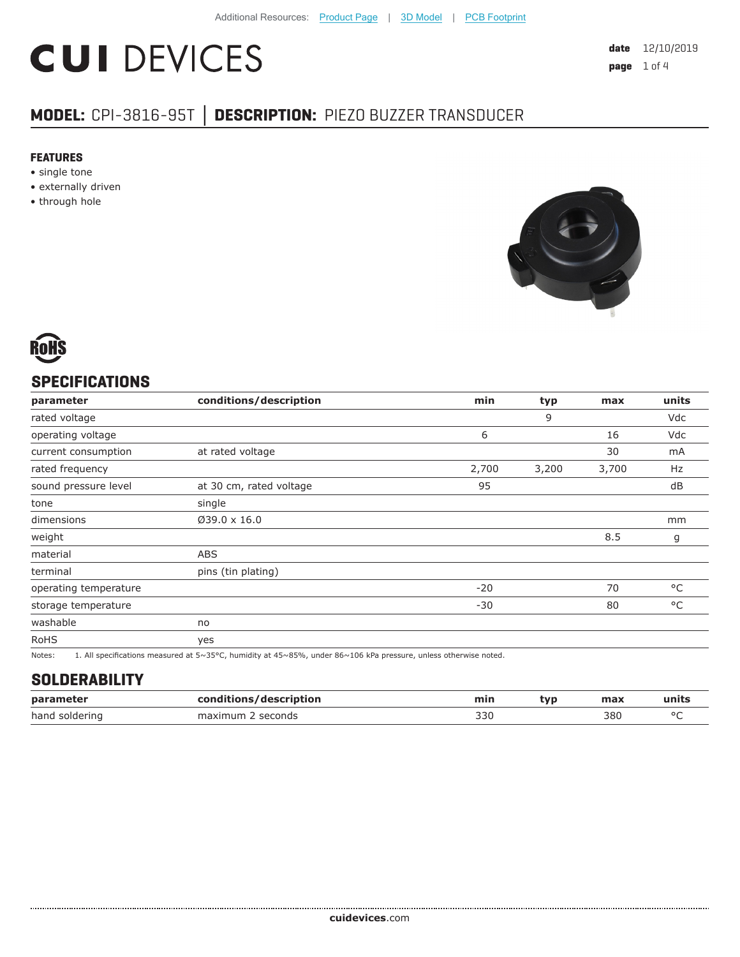# **CUI DEVICES**

## **MODEL:** CPI-3816-95T **│ DESCRIPTION:** PIEZO BUZZER TRANSDUCER

#### **FEATURES**

- single tone
- externally driven
- through hole





#### **SPECIFICATIONS**

| parameter             | conditions/description                                                                                           | min   | typ   | max   | units        |
|-----------------------|------------------------------------------------------------------------------------------------------------------|-------|-------|-------|--------------|
| rated voltage         |                                                                                                                  |       | 9     |       | Vdc          |
| operating voltage     |                                                                                                                  | 6     |       | 16    | Vdc          |
| current consumption   | at rated voltage                                                                                                 |       |       | 30    | mA           |
| rated frequency       |                                                                                                                  | 2,700 | 3,200 | 3,700 | Hz           |
| sound pressure level  | at 30 cm, rated voltage                                                                                          | 95    |       |       | dB           |
| tone                  | single                                                                                                           |       |       |       |              |
| dimensions            | $\emptyset$ 39.0 x 16.0                                                                                          |       |       |       | mm           |
| weight                |                                                                                                                  |       |       | 8.5   | g            |
| material              | ABS                                                                                                              |       |       |       |              |
| terminal              | pins (tin plating)                                                                                               |       |       |       |              |
| operating temperature |                                                                                                                  | $-20$ |       | 70    | °C           |
| storage temperature   |                                                                                                                  | $-30$ |       | 80    | $^{\circ}$ C |
| washable              | no                                                                                                               |       |       |       |              |
| <b>RoHS</b>           | yes                                                                                                              |       |       |       |              |
| Notes:                | 1. All specifications measured at 5~35°C, humidity at 45~85%, under 86~106 kPa pressure, unless otherwise noted. |       |       |       |              |

#### **SOLDERABILITY**

| parameter      | conditions/description | min | tvp | max | units   |
|----------------|------------------------|-----|-----|-----|---------|
| hand soldering | ' seconds<br>maximum   | 330 |     | 380 | $\circ$ |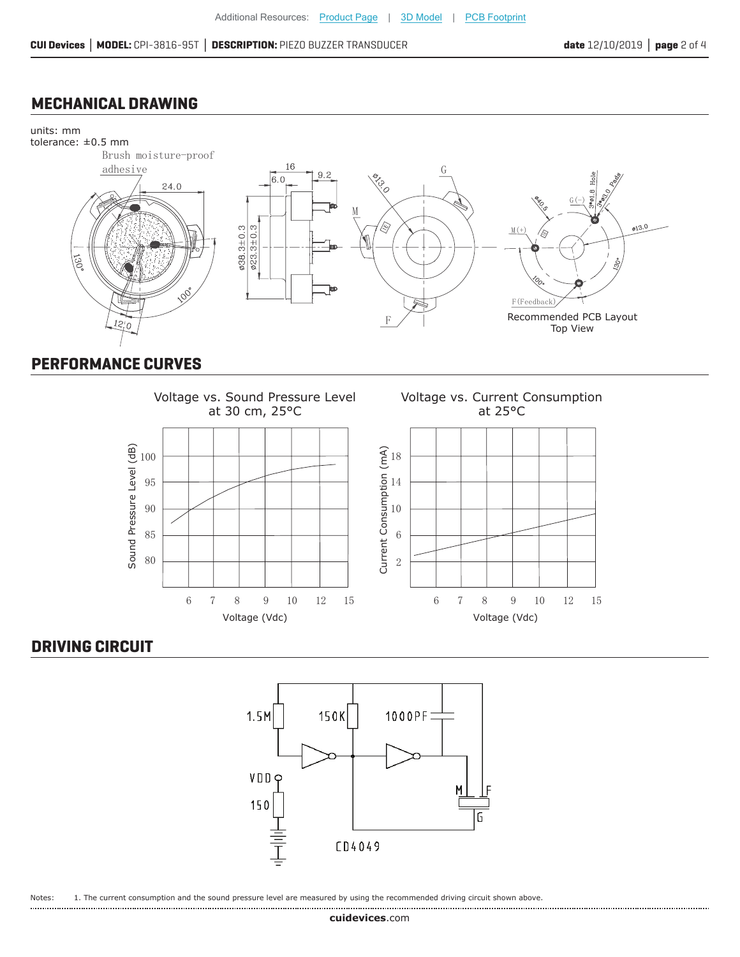#### **MECHANICAL DRAWING**



#### **PERFORMANCE CURVES**



### **DRIVING CIRCUIT**



Notes: 1. The current consumption and the sound pressure level are measured by using the recommended driving circuit shown above.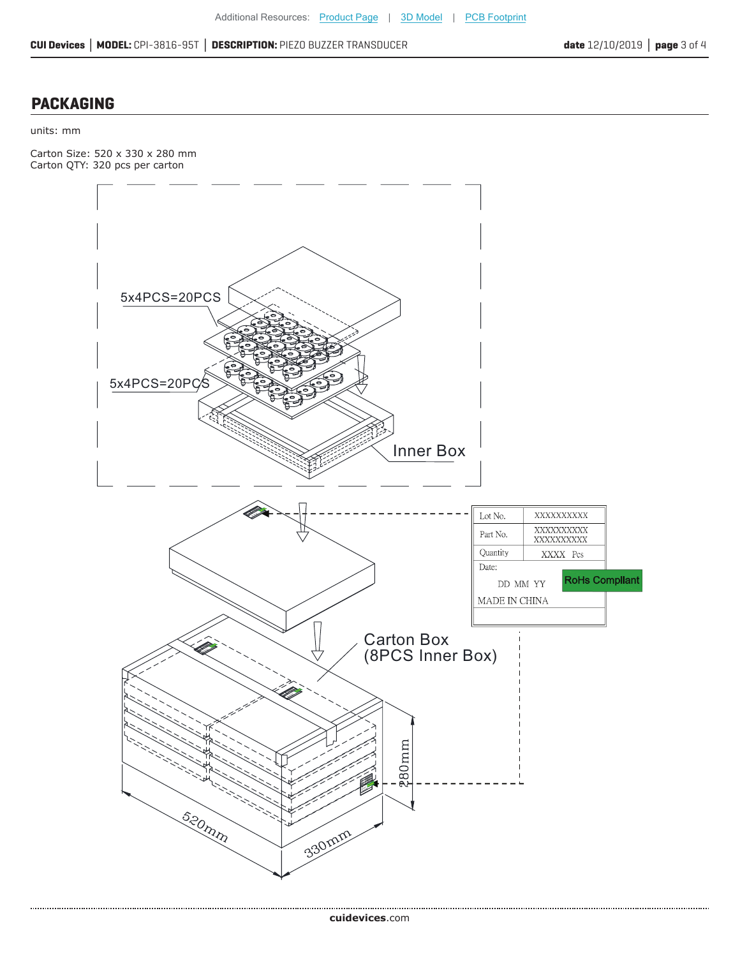#### **PACKAGING**

#### units: mm

Carton Size: 520 x 330 x 280 mm Carton QTY: 320 pcs per carton



**cui[devices](https://www.cuidevices.com/track?actionLabel=Datasheet-ClickThrough-HomePage&label=CPI-3816-95T.pdf&path=/)**.com